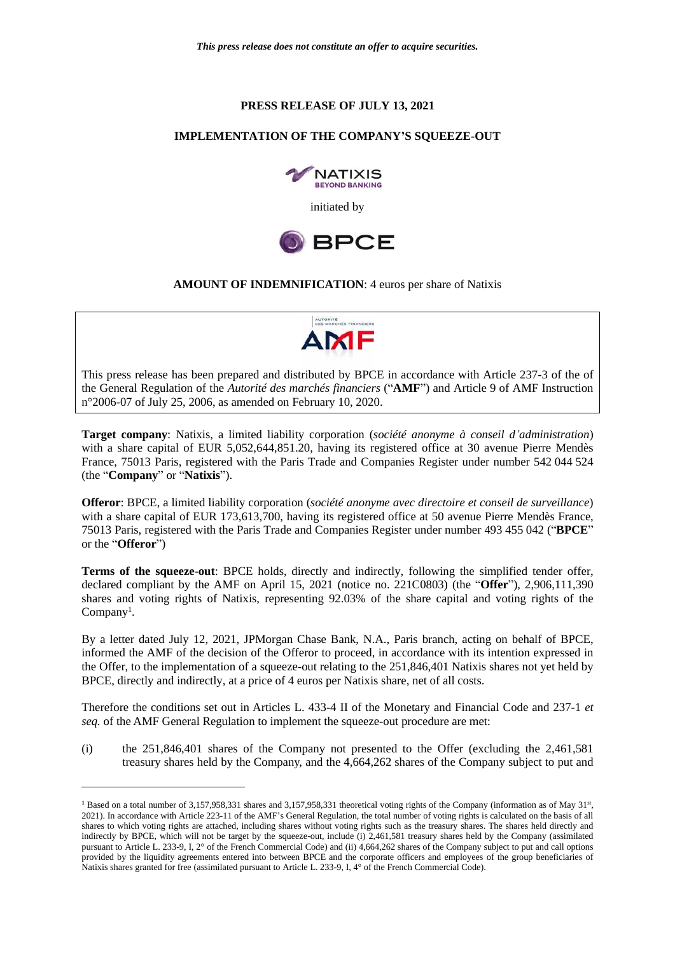## **PRESS RELEASE OF JULY 13, 2021**

## **IMPLEMENTATION OF THE COMPANY'S SQUEEZE-OUT**





## **AMOUNT OF INDEMNIFICATION**: 4 euros per share of Natixis



This press release has been prepared and distributed by BPCE in accordance with Article 237-3 of the of the General Regulation of the *Autorité des marchés financiers* ("**AMF**") and Article 9 of AMF Instruction n°2006-07 of July 25, 2006, as amended on February 10, 2020.

**Target company**: Natixis, a limited liability corporation (*société anonyme à conseil d'administration*) with a share capital of EUR 5,052,644,851.20, having its registered office at 30 avenue Pierre Mendès France, 75013 Paris, registered with the Paris Trade and Companies Register under number 542 044 524 (the "**Company**" or "**Natixis**").

**Offeror**: BPCE, a limited liability corporation (*société anonyme avec directoire et conseil de surveillance*) with a share capital of EUR 173,613,700, having its registered office at 50 avenue Pierre Mendès France, 75013 Paris, registered with the Paris Trade and Companies Register under number 493 455 042 ("**BPCE**" or the "**Offeror**")

**Terms of the squeeze-out**: BPCE holds, directly and indirectly, following the simplified tender offer, declared compliant by the AMF on April 15, 2021 (notice no. 221C0803) (the "**Offer**"), 2,906,111,390 shares and voting rights of Natixis, representing 92.03% of the share capital and voting rights of the Company<sup>1</sup>.

By a letter dated July 12, 2021, JPMorgan Chase Bank, N.A., Paris branch, acting on behalf of BPCE, informed the AMF of the decision of the Offeror to proceed, in accordance with its intention expressed in the Offer, to the implementation of a squeeze-out relating to the 251,846,401 Natixis shares not yet held by BPCE, directly and indirectly, at a price of 4 euros per Natixis share, net of all costs.

Therefore the conditions set out in Articles L. 433-4 II of the Monetary and Financial Code and 237-1 *et seq.* of the AMF General Regulation to implement the squeeze-out procedure are met:

(i) the 251,846,401 shares of the Company not presented to the Offer (excluding the 2,461,581 treasury shares held by the Company, and the 4,664,262 shares of the Company subject to put and

<sup>&</sup>lt;sup>1</sup> Based on a total number of 3,157,958,331 shares and 3,157,958,331 theoretical voting rights of the Company (information as of May 31<sup>st</sup>, 2021). In accordance with Article 223-11 of the AMF's General Regulation, the total number of voting rights is calculated on the basis of all shares to which voting rights are attached, including shares without voting rights such as the treasury shares. The shares held directly and indirectly by BPCE, which will not be target by the squeeze-out, include (i) 2,461,581 treasury shares held by the Company (assimilated pursuant to Article L. 233-9, I, 2° of the French Commercial Code) and (ii) 4,664,262 shares of the Company subject to put and call options provided by the liquidity agreements entered into between BPCE and the corporate officers and employees of the group beneficiaries of Natixis shares granted for free (assimilated pursuant to Article L. 233-9, I, 4° of the French Commercial Code).